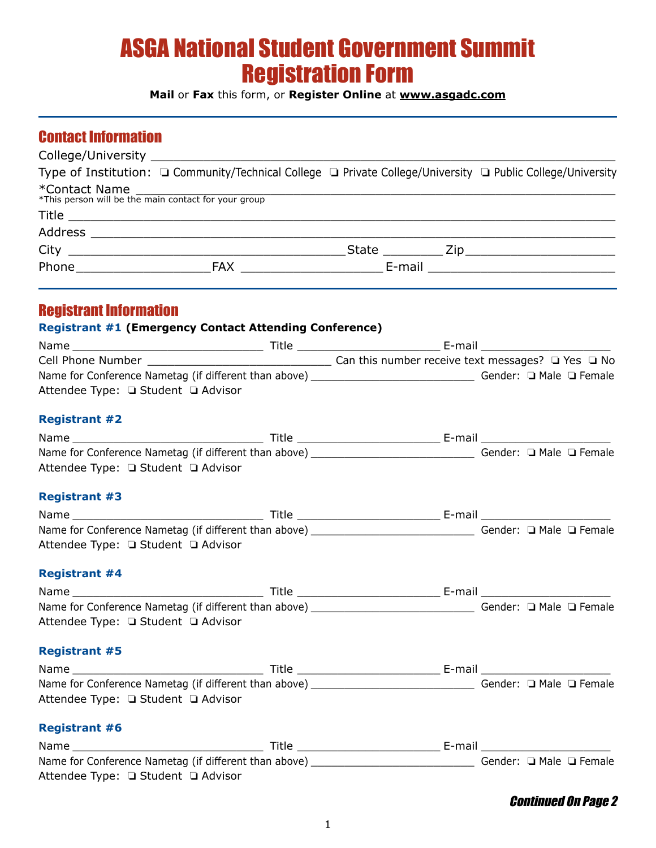# ASGA National Student Government Summit Registration Form

**Mail** or **Fax** this form, or **Register Online** at **[www.asgadc.com](http://www.asgadc.com)**

## Contact Information

|               |                                                                                                                                                                                                                                | Type of Institution: □ Community/Technical College □ Private College/University □ Public College/University |
|---------------|--------------------------------------------------------------------------------------------------------------------------------------------------------------------------------------------------------------------------------|-------------------------------------------------------------------------------------------------------------|
| *Contact Name | "COTILIACT INCITIC<br>*This person will be the main contact for your group                                                                                                                                                     |                                                                                                             |
|               |                                                                                                                                                                                                                                |                                                                                                             |
|               |                                                                                                                                                                                                                                |                                                                                                             |
|               |                                                                                                                                                                                                                                |                                                                                                             |
|               | Phone The E-mail E-mail E-mail E-mail E-mail E-mail E-mail E-mail E-mail E-mail E-mail E-mail E-mail E-mail E-mail E-mail E-mail E-mail E-mail E-mail E-mail E-mail E-mail E-mail E-mail E-mail E-mail E-mail E-mail E-mail E- |                                                                                                             |

### Registrant Information

#### **Registrant #1 (Emergency Contact Attending Conference)**

| Name                                                  | Title | E-mail                                                      |
|-------------------------------------------------------|-------|-------------------------------------------------------------|
| Cell Phone Number                                     |       | Can this number receive text messages? $\Box$ Yes $\Box$ No |
| Name for Conference Nametag (if different than above) |       | Gender: $\Box$ Male $\Box$ Female                           |
| Attendee Type: □ Student □ Advisor                    |       |                                                             |

#### **Registrant #2**

| Attendee Type: □ Student □ Advisor |  |  |  |
|------------------------------------|--|--|--|
| <b>Registrant #3</b>               |  |  |  |
|                                    |  |  |  |
|                                    |  |  |  |
| Attendee Type: □ Student □ Advisor |  |  |  |
| <b>Registrant #4</b>               |  |  |  |
|                                    |  |  |  |
|                                    |  |  |  |
|                                    |  |  |  |
| Attendee Type: □ Student □ Advisor |  |  |  |
| <b>Registrant #5</b>               |  |  |  |
|                                    |  |  |  |
|                                    |  |  |  |
| Attendee Type: □ Student □ Advisor |  |  |  |
| <b>Registrant #6</b>               |  |  |  |
|                                    |  |  |  |
|                                    |  |  |  |

Attendee Type: **Q** Student Q Advisor

#### Continued On Page 2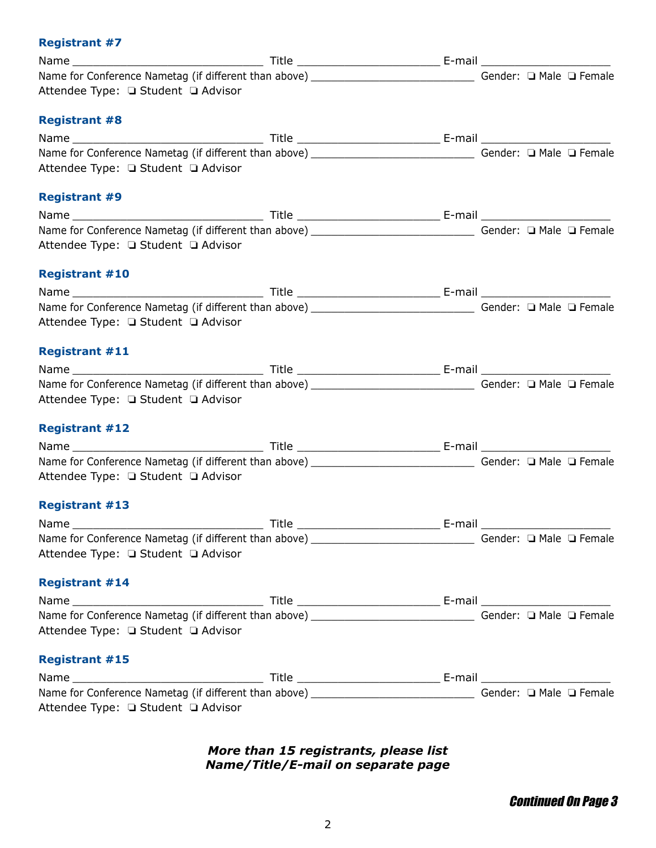#### **Registrant #7**

| Attendee Type: □ Student □ Advisor |  |  |  |
|------------------------------------|--|--|--|
| <b>Registrant #8</b>               |  |  |  |
|                                    |  |  |  |
|                                    |  |  |  |
| Attendee Type: □ Student □ Advisor |  |  |  |
| <b>Registrant #9</b>               |  |  |  |
|                                    |  |  |  |
|                                    |  |  |  |
| Attendee Type: □ Student □ Advisor |  |  |  |
| <b>Registrant #10</b>              |  |  |  |
|                                    |  |  |  |
|                                    |  |  |  |
| Attendee Type: □ Student □ Advisor |  |  |  |
| <b>Registrant #11</b>              |  |  |  |
|                                    |  |  |  |
|                                    |  |  |  |
| Attendee Type: □ Student □ Advisor |  |  |  |
| <b>Registrant #12</b>              |  |  |  |
|                                    |  |  |  |
|                                    |  |  |  |
| Attendee Type: □ Student □ Advisor |  |  |  |
| <b>Registrant #13</b>              |  |  |  |
|                                    |  |  |  |
|                                    |  |  |  |
| Attendee Type: □ Student □ Advisor |  |  |  |
| <b>Registrant #14</b>              |  |  |  |
|                                    |  |  |  |
|                                    |  |  |  |
| Attendee Type: □ Student □ Advisor |  |  |  |
| <b>Registrant #15</b>              |  |  |  |
|                                    |  |  |  |
|                                    |  |  |  |
| Attendee Type: □ Student □ Advisor |  |  |  |

#### *More than 15 registrants, please list Name/Title/E-mail on separate page*